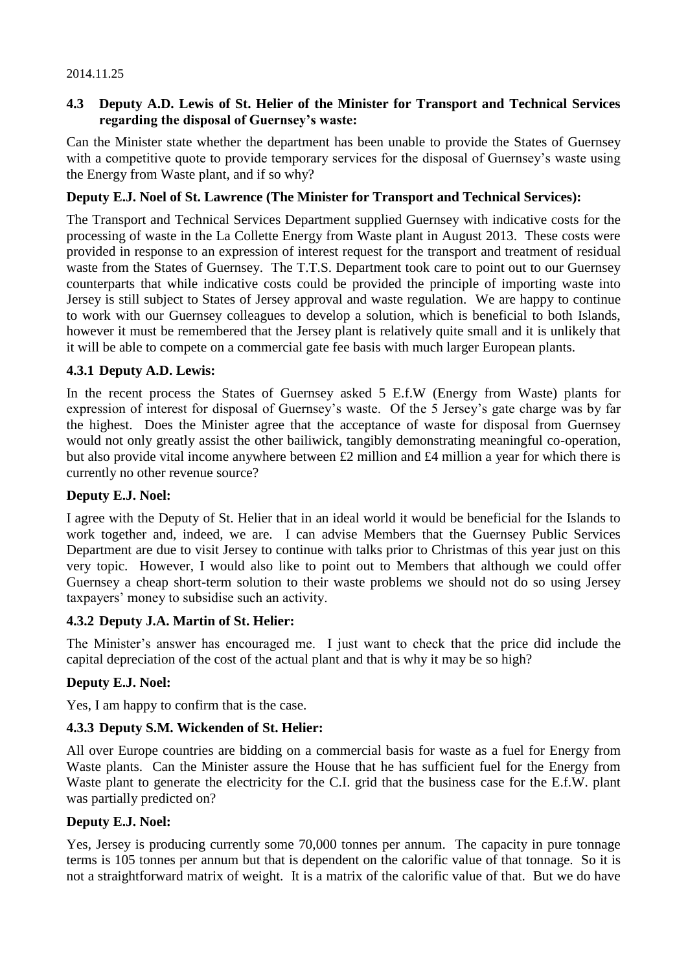#### 2014.11.25

### **4.3 Deputy A.D. Lewis of St. Helier of the Minister for Transport and Technical Services regarding the disposal of Guernsey's waste:**

Can the Minister state whether the department has been unable to provide the States of Guernsey with a competitive quote to provide temporary services for the disposal of Guernsey's waste using the Energy from Waste plant, and if so why?

### **Deputy E.J. Noel of St. Lawrence (The Minister for Transport and Technical Services):**

The Transport and Technical Services Department supplied Guernsey with indicative costs for the processing of waste in the La Collette Energy from Waste plant in August 2013. These costs were provided in response to an expression of interest request for the transport and treatment of residual waste from the States of Guernsey. The T.T.S. Department took care to point out to our Guernsey counterparts that while indicative costs could be provided the principle of importing waste into Jersey is still subject to States of Jersey approval and waste regulation. We are happy to continue to work with our Guernsey colleagues to develop a solution, which is beneficial to both Islands, however it must be remembered that the Jersey plant is relatively quite small and it is unlikely that it will be able to compete on a commercial gate fee basis with much larger European plants.

## **4.3.1 Deputy A.D. Lewis:**

In the recent process the States of Guernsey asked 5 E.f.W (Energy from Waste) plants for expression of interest for disposal of Guernsey's waste. Of the 5 Jersey's gate charge was by far the highest. Does the Minister agree that the acceptance of waste for disposal from Guernsey would not only greatly assist the other bailiwick, tangibly demonstrating meaningful co-operation, but also provide vital income anywhere between £2 million and £4 million a year for which there is currently no other revenue source?

## **Deputy E.J. Noel:**

I agree with the Deputy of St. Helier that in an ideal world it would be beneficial for the Islands to work together and, indeed, we are. I can advise Members that the Guernsey Public Services Department are due to visit Jersey to continue with talks prior to Christmas of this year just on this very topic. However, I would also like to point out to Members that although we could offer Guernsey a cheap short-term solution to their waste problems we should not do so using Jersey taxpayers' money to subsidise such an activity.

#### **4.3.2 Deputy J.A. Martin of St. Helier:**

The Minister's answer has encouraged me. I just want to check that the price did include the capital depreciation of the cost of the actual plant and that is why it may be so high?

## **Deputy E.J. Noel:**

Yes, I am happy to confirm that is the case.

#### **4.3.3 Deputy S.M. Wickenden of St. Helier:**

All over Europe countries are bidding on a commercial basis for waste as a fuel for Energy from Waste plants. Can the Minister assure the House that he has sufficient fuel for the Energy from Waste plant to generate the electricity for the C.I. grid that the business case for the E.f.W. plant was partially predicted on?

#### **Deputy E.J. Noel:**

Yes, Jersey is producing currently some 70,000 tonnes per annum. The capacity in pure tonnage terms is 105 tonnes per annum but that is dependent on the calorific value of that tonnage. So it is not a straightforward matrix of weight. It is a matrix of the calorific value of that. But we do have